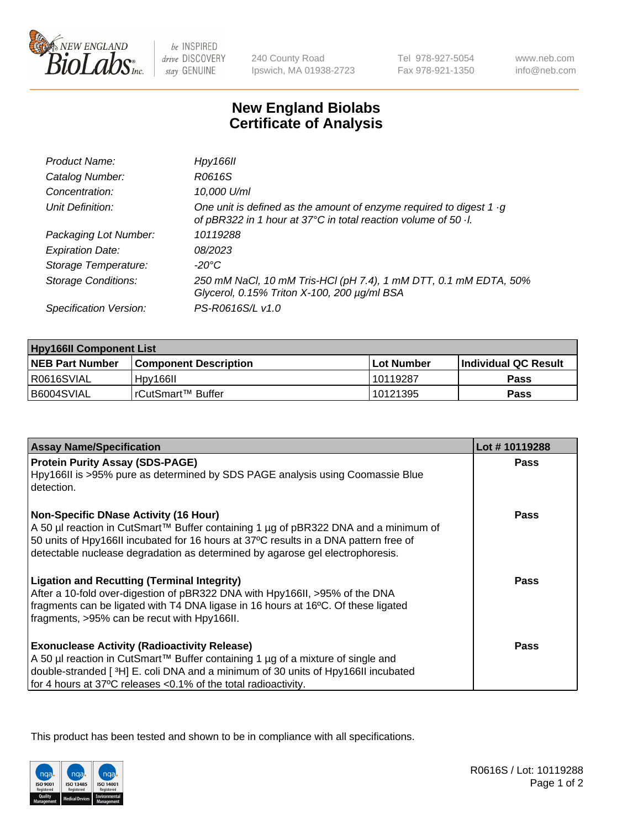

be INSPIRED drive DISCOVERY stay GENUINE

240 County Road Ipswich, MA 01938-2723 Tel 978-927-5054 Fax 978-921-1350

www.neb.com info@neb.com

## **New England Biolabs Certificate of Analysis**

| Product Name:              | Hpy166II                                                                                                                                      |
|----------------------------|-----------------------------------------------------------------------------------------------------------------------------------------------|
| Catalog Number:            | R0616S                                                                                                                                        |
| Concentration:             | 10,000 U/ml                                                                                                                                   |
| Unit Definition:           | One unit is defined as the amount of enzyme required to digest 1 $\cdot$ g<br>of pBR322 in 1 hour at 37°C in total reaction volume of 50 · l. |
| Packaging Lot Number:      | 10119288                                                                                                                                      |
| <b>Expiration Date:</b>    | 08/2023                                                                                                                                       |
| Storage Temperature:       | $-20^{\circ}$ C                                                                                                                               |
| <b>Storage Conditions:</b> | 250 mM NaCl, 10 mM Tris-HCl (pH 7.4), 1 mM DTT, 0.1 mM EDTA, 50%<br>Glycerol, 0.15% Triton X-100, 200 µg/ml BSA                               |
| Specification Version:     | PS-R0616S/L v1.0                                                                                                                              |

| <b>Hpy166II Component List</b> |                         |              |                             |  |
|--------------------------------|-------------------------|--------------|-----------------------------|--|
| <b>NEB Part Number</b>         | l Component Description | l Lot Number | <b>Individual QC Result</b> |  |
| I R0616SVIAL                   | Hpy166II                | 10119287     | Pass                        |  |
| B6004SVIAL                     | I rCutSmart™ Buffer_    | 10121395     | Pass                        |  |

| <b>Assay Name/Specification</b>                                                                                                                                                                                                                                                                              | Lot #10119288 |
|--------------------------------------------------------------------------------------------------------------------------------------------------------------------------------------------------------------------------------------------------------------------------------------------------------------|---------------|
| <b>Protein Purity Assay (SDS-PAGE)</b><br>Hpy166II is >95% pure as determined by SDS PAGE analysis using Coomassie Blue<br>detection.                                                                                                                                                                        | <b>Pass</b>   |
| <b>Non-Specific DNase Activity (16 Hour)</b><br>A 50 µl reaction in CutSmart™ Buffer containing 1 µg of pBR322 DNA and a minimum of<br>50 units of Hpy166II incubated for 16 hours at 37°C results in a DNA pattern free of<br>detectable nuclease degradation as determined by agarose gel electrophoresis. | <b>Pass</b>   |
| <b>Ligation and Recutting (Terminal Integrity)</b><br>After a 10-fold over-digestion of pBR322 DNA with Hpy166II, >95% of the DNA<br>fragments can be ligated with T4 DNA ligase in 16 hours at 16°C. Of these ligated<br>fragments, >95% can be recut with Hpy166II.                                        | Pass          |
| <b>Exonuclease Activity (Radioactivity Release)</b><br>A 50 µl reaction in CutSmart™ Buffer containing 1 µg of a mixture of single and<br>double-stranded [3H] E. coli DNA and a minimum of 30 units of Hpy166II incubated<br>for 4 hours at 37°C releases <0.1% of the total radioactivity.                 | <b>Pass</b>   |

This product has been tested and shown to be in compliance with all specifications.